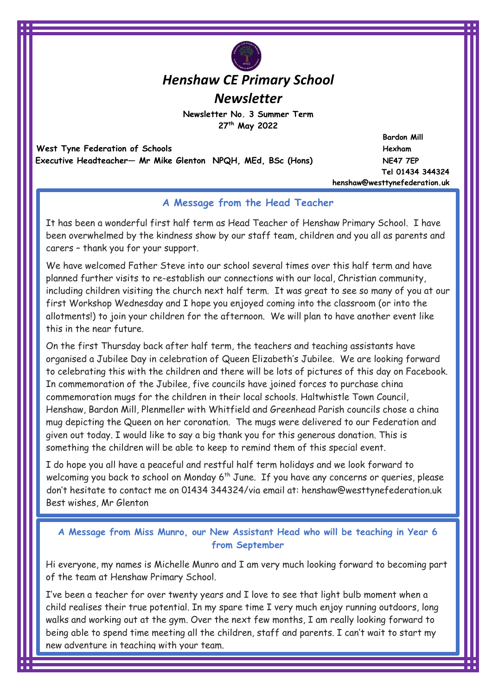# *Henshaw CE Primary School*

*Newsletter*

**Newsletter No. 3 Summer Term 27th May 2022** 

 **West Tyne Federation of Schools and Schools and Schools and Schools and Schools and Schools and Schools and Schools and Schools and Schools and Schools and Schools and Schools and Schools and Schools and Schools and Scho Executive Headteacher— Mr Mike Glenton NPQH, MEd, BSc (Hons) NE47 7EP** 

 **Bardon Mill Tel 01434 344324 henshaw@westtynefederation.uk**

## **A Message from the Head Teacher**

It has been a wonderful first half term as Head Teacher of Henshaw Primary School. I have been overwhelmed by the kindness show by our staff team, children and you all as parents and carers – thank you for your support.

We have welcomed Father Steve into our school several times over this half term and have planned further visits to re-establish our connections with our local, Christian community, including children visiting the church next half term. It was great to see so many of you at our first Workshop Wednesday and I hope you enjoyed coming into the classroom (or into the allotments!) to join your children for the afternoon. We will plan to have another event like this in the near future.

On the first Thursday back after half term, the teachers and teaching assistants have organised a Jubilee Day in celebration of Queen Elizabeth's Jubilee. We are looking forward to celebrating this with the children and there will be lots of pictures of this day on Facebook. In commemoration of the Jubilee, five councils have joined forces to purchase china commemoration mugs for the children in their local schools. Haltwhistle Town Council, Henshaw, Bardon Mill, Plenmeller with Whitfield and Greenhead Parish councils chose a china mug depicting the Queen on her coronation. The mugs were delivered to our Federation and given out today. I would like to say a big thank you for this generous donation. This is something the children will be able to keep to remind them of this special event.

I do hope you all have a peaceful and restful half term holidays and we look forward to welcoming you back to school on Monday 6<sup>th</sup> June. If you have any concerns or queries, please don't hesitate to contact me on 01434 344324/via email at: henshaw@westtynefederation.uk Best wishes, Mr Glenton

**A Message from Miss Munro, our New Assistant Head who will be teaching in Year 6 from September**

Hi everyone, my names is Michelle Munro and I am very much looking forward to becoming part of the team at Henshaw Primary School.

I've been a teacher for over twenty years and I love to see that light bulb moment when a child realises their true potential. In my spare time I very much enjoy running outdoors, long walks and working out at the gym. Over the next few months, I am really looking forward to being able to spend time meeting all the children, staff and parents. I can't wait to start my new adventure in teaching with your team.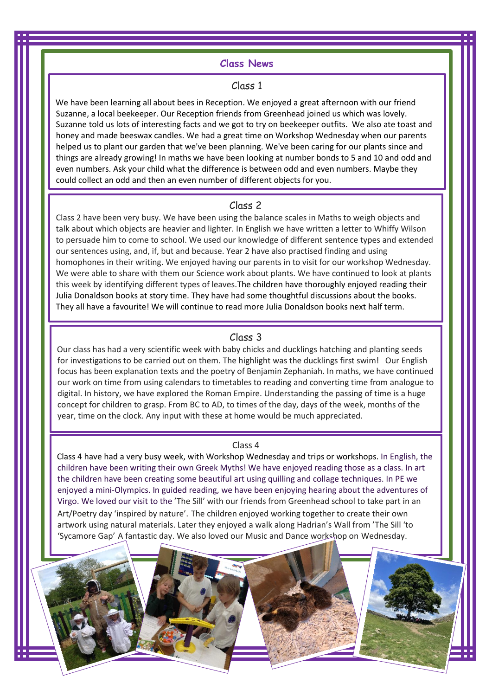## **Class News**

#### Class 1

We have been learning all about bees in Reception. We enjoyed a great afternoon with our friend Suzanne, a local beekeeper. Our Reception friends from Greenhead joined us which was lovely. Suzanne told us lots of interesting facts and we got to try on beekeeper outfits. We also ate toast and honey and made beeswax candles. We had a great time on Workshop Wednesday when our parents helped us to plant our garden that we've been planning. We've been caring for our plants since and things are already growing! In maths we have been looking at number bonds to 5 and 10 and odd and even numbers. Ask your child what the difference is between odd and even numbers. Maybe they could collect an odd and then an even number of different objects for you.

#### Class 2

Class 2 have been very busy. We have been using the balance scales in Maths to weigh objects and talk about which objects are heavier and lighter. In English we have written a letter to Whiffy Wilson to persuade him to come to school. We used our knowledge of different sentence types and extended our sentences using, and, if, but and because. Year 2 have also practised finding and using homophones in their writing. We enjoyed having our parents in to visit for our workshop Wednesday. We were able to share with them our Science work about plants. We have continued to look at plants this week by identifying different types of leaves.The children have thoroughly enjoyed reading their Julia Donaldson books at story time. They have had some thoughtful discussions about the books. They all have a favourite! We will continue to read more Julia Donaldson books next half term.

#### Class 3

Our class has had a very scientific week with baby chicks and ducklings hatching and planting seeds for investigations to be carried out on them. The highlight was the ducklings first swim! Our English focus has been explanation texts and the poetry of Benjamin Zephaniah. In maths, we have continued our work on time from using calendars to timetables to reading and converting time from analogue to digital. In history, we have explored the Roman Empire. Understanding the passing of time is a huge concept for children to grasp. From BC to AD, to times of the day, days of the week, months of the year, time on the clock. Any input with these at home would be much appreciated.

#### Class 4

Class 4 have had a very busy week, with Workshop Wednesday and trips or workshops. In English, the children have been writing their own Greek Myths! We have enjoyed reading those as a class. In art the children have been creating some beautiful art using quilling and collage techniques. In PE we enjoyed a mini-Olympics. In guided reading, we have been enjoying hearing about the adventures of Virgo. We loved our visit to the 'The Sill' with our friends from Greenhead school to take part in an Art/Poetry day 'inspired by nature'. The children enjoyed working together to create their own artwork using natural materials. Later they enjoyed a walk along Hadrian's Wall from 'The Sill 'to 'Sycamore Gap' A fantastic day. We also loved our Music and Dance workshop on Wednesday.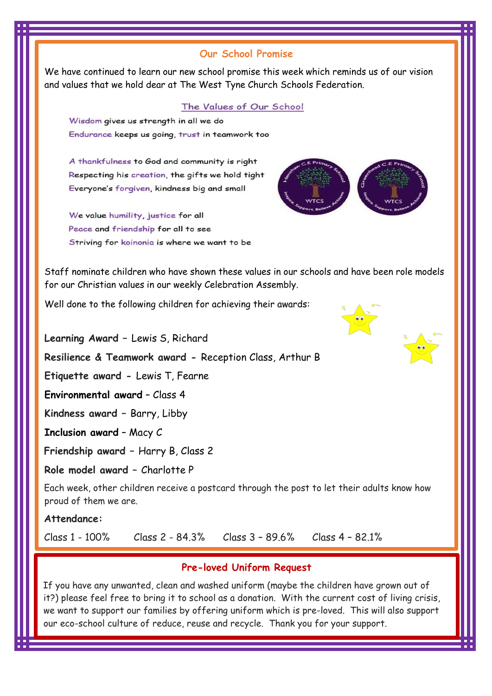## **Our School Promise**

We have continued to learn our new school promise this week which reminds us of our vision and values that we hold dear at The West Tyne Church Schools Federation.

#### The Values of Our School

Wisdom gives us strength in all we do Endurance keeps us going, trust in teamwork too

A thankfulness to God and community is right Respecting his creation, the gifts we hold tight Everyone's forgiven, kindness big and small

We value humility, justice for all Peace and friendship for all to see Striving for koinonia is where we want to be



Staff nominate children who have shown these values in our schools and have been role models for our Christian values in our weekly Celebration Assembly.

Well done to the following children for achieving their awards:

**Learning Award –** Lewis S, Richard **Resilience & Teamwork award -** Reception Class, Arthur B **Etiquette award -** Lewis T, Fearne **Environmental award** – Class 4 **Kindness award –** Barry, Libby **Inclusion award** – Macy C **Friendship award –** Harry B, Class 2 **Role model award –** Charlotte P

Each week, other children receive a postcard through the post to let their adults know how proud of them we are.

**Attendance:**

Class 1 - 100% Class 2 - 84.3% Class 3 – 89.6% Class 4 – 82.1%

## **Pre-loved Uniform Request**

If you have any unwanted, clean and washed uniform (maybe the children have grown out of it?) please feel free to bring it to school as a donation. With the current cost of living crisis, we want to support our families by offering uniform which is pre-loved. This will also support our eco-school culture of reduce, reuse and recycle. Thank you for your support.